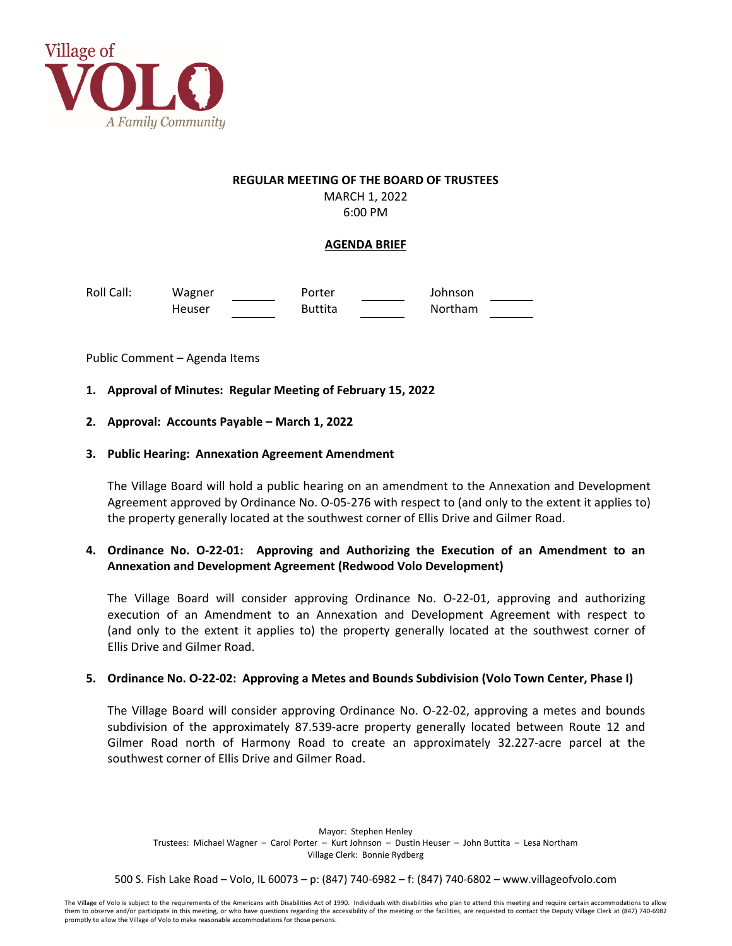

## **REGULAR MEETING OF THE BOARD OF TRUSTEES** MARCH 1, 2022 6:00 PM

**AGENDA BRIEF**

Roll Call: Wagner Porter Johnson Heuser **Buttita Northam** 

Public Comment – Agenda Items

- **1. Approval of Minutes: Regular Meeting of February 15, 2022**
- **2. Approval: Accounts Payable – March 1, 2022**

## **3. Public Hearing: Annexation Agreement Amendment**

The Village Board will hold a public hearing on an amendment to the Annexation and Development Agreement approved by Ordinance No. O‐05‐276 with respect to (and only to the extent it applies to) the property generally located at the southwest corner of Ellis Drive and Gilmer Road.

**4. Ordinance No. O‐22‐01: Approving and Authorizing the Execution of an Amendment to an Annexation and Development Agreement (Redwood Volo Development)**

The Village Board will consider approving Ordinance No. O‐22‐01, approving and authorizing execution of an Amendment to an Annexation and Development Agreement with respect to (and only to the extent it applies to) the property generally located at the southwest corner of Ellis Drive and Gilmer Road.

## 5. Ordinance No. O-22-02: Approving a Metes and Bounds Subdivision (Volo Town Center, Phase I)

The Village Board will consider approving Ordinance No. O‐22‐02, approving a metes and bounds subdivision of the approximately 87.539‐acre property generally located between Route 12 and Gilmer Road north of Harmony Road to create an approximately 32.227‐acre parcel at the southwest corner of Ellis Drive and Gilmer Road.

Mayor: Stephen Henley Trustees: Michael Wagner – Carol Porter – Kurt Johnson – Dustin Heuser – John Buttita – Lesa Northam Village Clerk: Bonnie Rydberg

500 S. Fish Lake Road – Volo, IL 60073 – p: (847) 740‐6982 – f: (847) 740‐6802 – www.villageofvolo.com